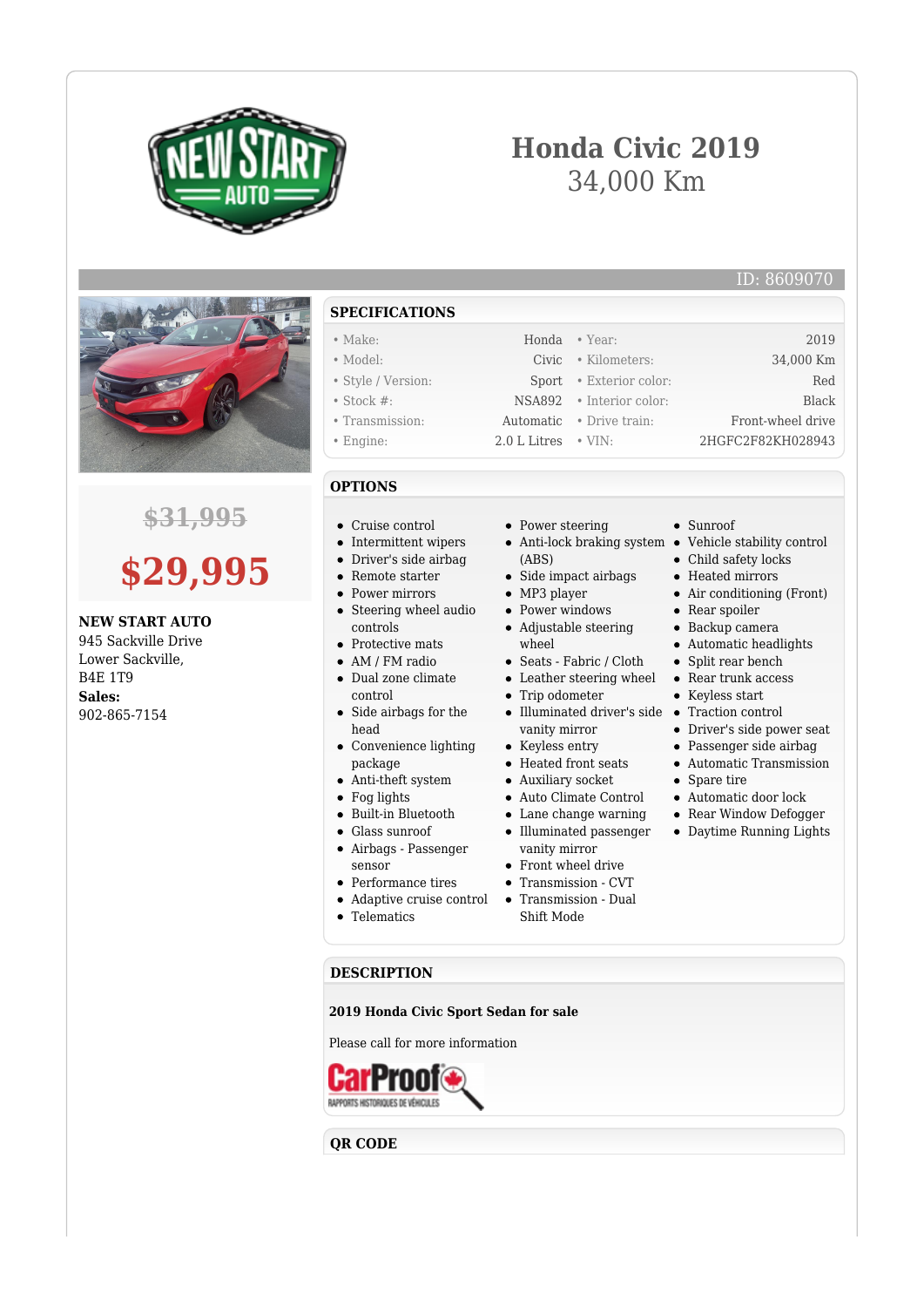

# **Honda Civic 2019** 34,000 Km

### ID: 8609070



## **\$31,995**

# **\$29,995**

**NEW START AUTO** 945 Sackville Drive Lower Sackville, B4E 1T9 **Sales:** 902-865-7154

**SPECIFICATIONS** • Make: Honda • Year: 2019 • Model: Civic • Kilometers: 34,000 Km • Style / Version: Sport • Exterior color: Red • Stock #: NSA892 • Interior color: Black • Transmission: Automatic • Drive train: Front-wheel drive • Engine: 2.0 L Litres • VIN: 2HGFC2F82KH028943

## **OPTIONS**

- Cruise control
- Intermittent wipers
- Driver's side airbag
- Remote starter
- Power mirrors
- Steering wheel audio controls
- Protective mats
- AM / FM radio
- Dual zone climate control
- Side airbags for the head
- Convenience lighting package
- Anti-theft system
- Fog lights
- Built-in Bluetooth
- Glass sunroof
- Airbags Passenger sensor
- Performance tires
- Adaptive cruise control
- **•** Telematics
- Power steering
- Anti-lock braking system Vehicle stability control
- (ABS)
- Side impact airbags
- MP3 player
- Power windows
- Adjustable steering wheel
- Seats Fabric / Cloth
- Leather steering wheel
- Trip odometer
- Illuminated driver's side Traction control vanity mirror
- Keyless entry
- Heated front seats
- Auxiliary socket
- Auto Climate Control
- Lane change warning
- Illuminated passenger vanity mirror
- Front wheel drive
	-
- Shift Mode

#### **DESCRIPTION**

**2019 Honda Civic Sport Sedan for sale**

Please call for more information



**QR CODE**

- Heated mirrors • Air conditioning (Front) • Rear spoiler Backup camera
- Automatic headlights
- Split rear bench
	- Rear trunk access

• Child safety locks

Keyless start

Sunroof

- 
- Driver's side power seat
- Passenger side airbag
- Automatic Transmission
- Spare tire
- Automatic door lock
- Rear Window Defogger
- Daytime Running Lights
- 
- 
- 
- Transmission CVT
- Transmission Dual